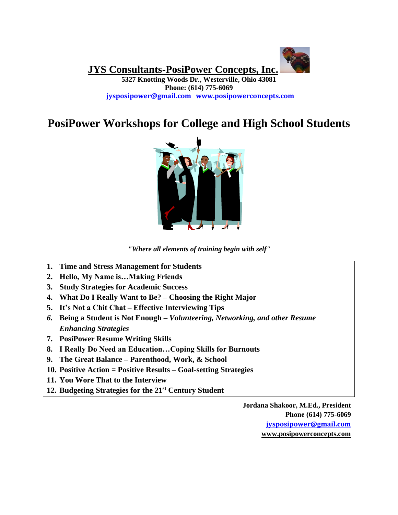**JYS Consultants-PosiPower Concepts, Inc.**

**5327 Knotting Woods Dr., Westerville, Ohio 43081 Phone: (614) 775-6069 [jysposipower@gmail.com](mailto:jysposipower@gmail.com) [www.posipowerconcepts.com](http://www.posipowerconcepts.com/)**

# **PosiPower Workshops for College and High School Students**



*"Where all elements of training begin with self"*

- **1. Time and Stress Management for Students**
- **2. Hello, My Name is…Making Friends**
- **3. Study Strategies for Academic Success**
- **4. What Do I Really Want to Be? – Choosing the Right Major**
- **5. It's Not a Chit Chat – Effective Interviewing Tips**
- *6.* **Being a Student is Not Enough –** *Volunteering, Networking, and other Resume Enhancing Strategies*
- **7. PosiPower Resume Writing Skills**
- **8. I Really Do Need an Education…Coping Skills for Burnouts**
- **9. The Great Balance – Parenthood, Work, & School**
- **10. Positive Action = Positive Results – Goal-setting Strategies**
- **11. You Wore That to the Interview**
- **12. Budgeting Strategies for the 21st Century Student**

**Jordana Shakoor, M.Ed., President Phone (614) 775-6069 [jysposipower@gmail.com](mailto:jysposipower@gmail.com) [www.posipowerconcepts.com](http://www.posipowerconcepts.com/)**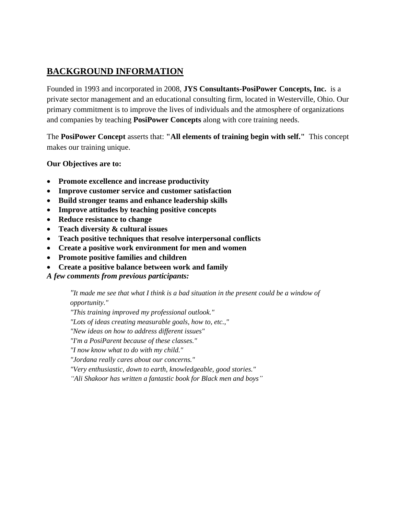# **BACKGROUND INFORMATION**

Founded in 1993 and incorporated in 2008, **JYS Consultants-PosiPower Concepts, Inc.** is a private sector management and an educational consulting firm, located in Westerville, Ohio. Our primary commitment is to improve the lives of individuals and the atmosphere of organizations and companies by teaching **PosiPower Concepts** along with core training needs.

The **PosiPower Concept** asserts that: **"All elements of training begin with self."** This concept makes our training unique.

**Our Objectives are to:** 

- **Promote excellence and increase productivity**
- **Improve customer service and customer satisfaction**
- **Build stronger teams and enhance leadership skills**
- **Improve attitudes by teaching positive concepts**
- **Reduce resistance to change**
- **Teach diversity & cultural issues**
- **Teach positive techniques that resolve interpersonal conflicts**
- **Create a positive work environment for men and women**
- **Promote positive families and children**
- **Create a positive balance between work and family**

*A few comments from previous participants:*

*"It made me see that what I think is a bad situation in the present could be a window of opportunity."*

*"This training improved my professional outlook."*

*"Lots of ideas creating measurable goals, how to, etc.,"*

*"New ideas on how to address different issues"*

*"I'm a PosiParent because of these classes."*

*"I now know what to do with my child."*

*"Jordana really cares about our concerns."*

*"Very enthusiastic, down to earth, knowledgeable, good stories."*

*"Ali Shakoor has written a fantastic book for Black men and boys"*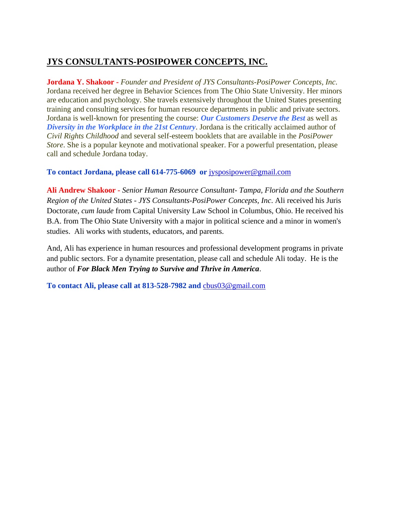# **JYS CONSULTANTS-POSIPOWER CONCEPTS, INC.**

**Jordana Y. Shakoor -** *Founder and President of JYS Consultants-PosiPower Concepts, Inc*. Jordana received her degree in Behavior Sciences from The Ohio State University. Her minors are education and psychology. She travels extensively throughout the United States presenting training and consulting services for human resource departments in public and private sectors. Jordana is well-known for presenting the course: *Our Customers Deserve the Best* as well as *Diversity in the Workplace in the 21st Century*. Jordana is the critically acclaimed author of *Civil Rights Childhood* and several self-esteem booklets that are available in the *PosiPower Store*. She is a popular keynote and motivational speaker. For a powerful presentation, please call and schedule Jordana today.

#### **To contact Jordana, please call 614-775-6069 or** [jysposipower@gmail.com](mailto:jysposipower@gmail.com)

**Ali Andrew Shakoor -** *Senior Human Resource Consultant- Tampa, Florida and the Southern Region of the United States - JYS Consultants-PosiPower Concepts, Inc*. Ali received his Juris Doctorate, *cum laude* from Capital University Law School in Columbus, Ohio. He received his B.A. from The Ohio State University with a major in political science and a minor in women's studies. Ali works with students, educators, and parents.

And, Ali has experience in human resources and professional development programs in private and public sectors. For a dynamite presentation, please call and schedule Ali today. He is the author of *For Black Men Trying to Survive and Thrive in America*.

**To contact Ali, please call at 813-528-7982 and** [cbus03@gmail.com](mailto:cbus03@gmail.com)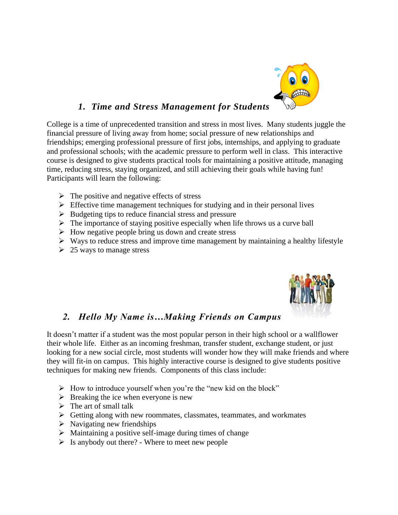

### *1. Time and Stress Management for Students*

College is a time of unprecedented transition and stress in most lives. Many students juggle the financial pressure of living away from home; social pressure of new relationships and friendships; emerging professional pressure of first jobs, internships, and applying to graduate and professional schools; with the academic pressure to perform well in class. This interactive course is designed to give students practical tools for maintaining a positive attitude, managing time, reducing stress, staying organized, and still achieving their goals while having fun! Participants will learn the following:

- $\triangleright$  The positive and negative effects of stress
- $\triangleright$  Effective time management techniques for studying and in their personal lives
- $\triangleright$  Budgeting tips to reduce financial stress and pressure
- $\triangleright$  The importance of staying positive especially when life throws us a curve ball
- $\triangleright$  How negative people bring us down and create stress
- $\triangleright$  Ways to reduce stress and improve time management by maintaining a healthy lifestyle
- $\geq 25$  ways to manage stress



## *2. Hello My Name is…Making Friends on Campus*

It doesn't matter if a student was the most popular person in their high school or a wallflower their whole life. Either as an incoming freshman, transfer student, exchange student, or just looking for a new social circle, most students will wonder how they will make friends and where they will fit-in on campus. This highly interactive course is designed to give students positive techniques for making new friends. Components of this class include:

- ➢ How to introduce yourself when you're the "new kid on the block"
- $\triangleright$  Breaking the ice when everyone is new
- $\triangleright$  The art of small talk
- ➢ Getting along with new roommates, classmates, teammates, and workmates
- $\triangleright$  Navigating new friendships
- $\triangleright$  Maintaining a positive self-image during times of change
- $\triangleright$  Is anybody out there? Where to meet new people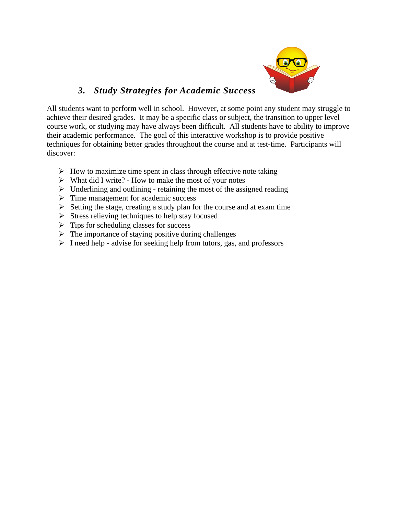

### *3. Study Strategies for Academic Success*

All students want to perform well in school. However, at some point any student may struggle to achieve their desired grades. It may be a specific class or subject, the transition to upper level course work, or studying may have always been difficult. All students have to ability to improve their academic performance. The goal of this interactive workshop is to provide positive techniques for obtaining better grades throughout the course and at test-time. Participants will discover:

- $\triangleright$  How to maximize time spent in class through effective note taking
- ➢ What did I write? How to make the most of your notes
- $\triangleright$  Underlining and outlining retaining the most of the assigned reading
- ➢ Time management for academic success
- ➢ Setting the stage, creating a study plan for the course and at exam time
- $\triangleright$  Stress relieving techniques to help stay focused
- $\triangleright$  Tips for scheduling classes for success
- $\triangleright$  The importance of staying positive during challenges
- ➢ I need help advise for seeking help from tutors, gas, and professors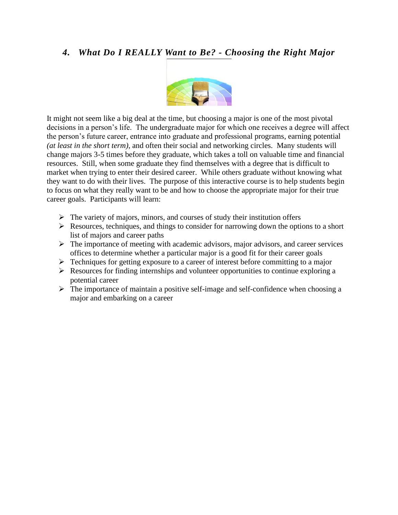### *4. What Do I REALLY Want to Be? - Choosing the Right Major*



It might not seem like a big deal at the time, but choosing a major is one of the most pivotal decisions in a person's life. The undergraduate major for which one receives a degree will affect the person's future career, entrance into graduate and professional programs, earning potential *(at least in the short term)*, and often their social and networking circles. Many students will change majors 3-5 times before they graduate, which takes a toll on valuable time and financial resources. Still, when some graduate they find themselves with a degree that is difficult to market when trying to enter their desired career. While others graduate without knowing what they want to do with their lives. The purpose of this interactive course is to help students begin to focus on what they really want to be and how to choose the appropriate major for their true career goals. Participants will learn:

- $\triangleright$  The variety of majors, minors, and courses of study their institution offers
- ➢ Resources, techniques, and things to consider for narrowing down the options to a short list of majors and career paths
- $\triangleright$  The importance of meeting with academic advisors, major advisors, and career services offices to determine whether a particular major is a good fit for their career goals
- ➢ Techniques for getting exposure to a career of interest before committing to a major
- ➢ Resources for finding internships and volunteer opportunities to continue exploring a potential career
- $\triangleright$  The importance of maintain a positive self-image and self-confidence when choosing a major and embarking on a career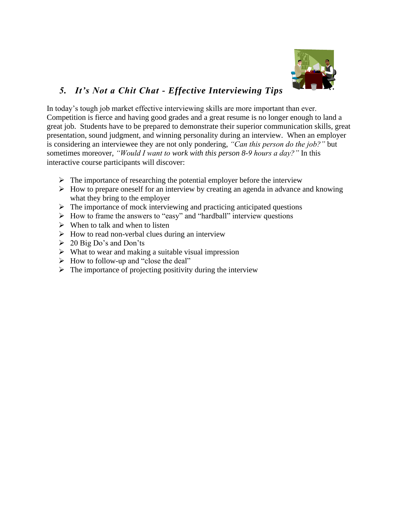

# *5. It's Not a Chit Chat - Effective Interviewing Tips*

In today's tough job market effective interviewing skills are more important than ever. Competition is fierce and having good grades and a great resume is no longer enough to land a great job. Students have to be prepared to demonstrate their superior communication skills, great presentation, sound judgment, and winning personality during an interview. When an employer is considering an interviewee they are not only pondering, *"Can this person do the job?"* but sometimes moreover, *"Would I want to work with this person 8-9 hours a day?"* In this interactive course participants will discover:

- $\triangleright$  The importance of researching the potential employer before the interview
- $\triangleright$  How to prepare oneself for an interview by creating an agenda in advance and knowing what they bring to the employer
- $\triangleright$  The importance of mock interviewing and practicing anticipated questions
- ➢ How to frame the answers to "easy" and "hardball" interview questions
- $\triangleright$  When to talk and when to listen
- $\triangleright$  How to read non-verbal clues during an interview
- $\geq 20$  Big Do's and Don'ts
- $\triangleright$  What to wear and making a suitable visual impression
- ➢ How to follow-up and "close the deal"
- $\triangleright$  The importance of projecting positivity during the interview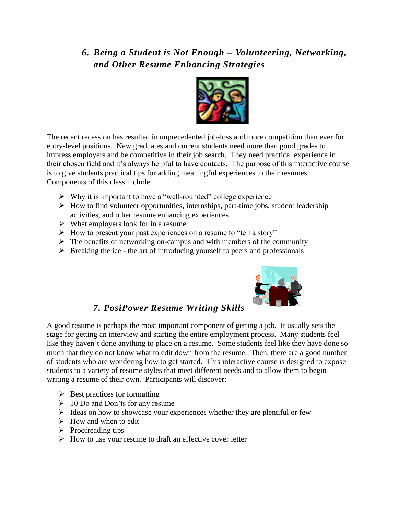# *6. Being a Student is Not Enough – Volunteering, Networking, and Other Resume Enhancing Strategies*



The recent recession has resulted in unprecedented job-loss and more competition than ever for entry-level positions. New graduates and current students need more than good grades to impress employers and be competitive in their job search. They need practical experience in their chosen field and it's always helpful to have contacts. The purpose of this interactive course is to give students practical tips for adding meaningful experiences to their resumes. Components of this class include:

- ➢ Why it is important to have a "well-rounded" college experience
- ➢ How to find volunteer opportunities, internships, part-time jobs, student leadership activities, and other resume enhancing experiences
- $\triangleright$  What employers look for in a resume
- ➢ How to present your past experiences on a resume to "tell a story"
- $\triangleright$  The benefits of networking on-campus and with members of the community
- $\triangleright$  Breaking the ice the art of introducing yourself to peers and professionals



### *7. PosiPower Resume Writing Skills*

A good resume is perhaps the most important component of getting a job. It usually sets the stage for getting an interview and starting the entire employment process. Many students feel like they haven't done anything to place on a resume. Some students feel like they have done so much that they do not know what to edit down from the resume. Then, there are a good number of students who are wondering how to get started. This interactive course is designed to expose students to a variety of resume styles that meet different needs and to allow them to begin writing a resume of their own. Participants will discover:

- $\triangleright$  Best practices for formatting
- $\geq 10$  Do and Don'ts for any resume
- ➢ Ideas on how to showcase your experiences whether they are plentiful or few
- $\triangleright$  How and when to edit
- ➢ Proofreading tips
- $\triangleright$  How to use your resume to draft an effective cover letter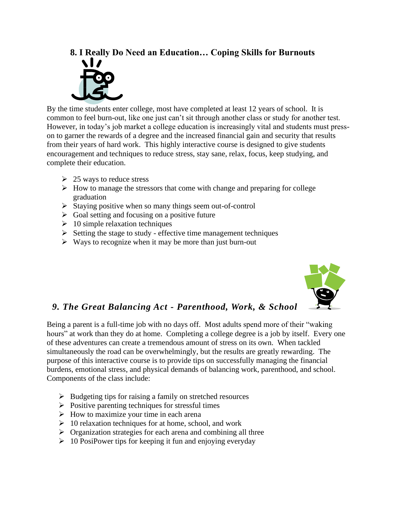#### **8. I Really Do Need an Education… Coping Skills for Burnouts**



By the time students enter college, most have completed at least 12 years of school. It is common to feel burn-out, like one just can't sit through another class or study for another test. However, in today's job market a college education is increasingly vital and students must presson to garner the rewards of a degree and the increased financial gain and security that results from their years of hard work. This highly interactive course is designed to give students encouragement and techniques to reduce stress, stay sane, relax, focus, keep studying, and complete their education.

- $\geq 25$  ways to reduce stress
- ➢ How to manage the stressors that come with change and preparing for college graduation
- ➢ Staying positive when so many things seem out-of-control
- $\triangleright$  Goal setting and focusing on a positive future
- $\geq 10$  simple relaxation techniques
- $\triangleright$  Setting the stage to study effective time management techniques
- $\triangleright$  Ways to recognize when it may be more than just burn-out



### *9. The Great Balancing Act - Parenthood, Work, & School*

Being a parent is a full-time job with no days off. Most adults spend more of their "waking hours" at work than they do at home. Completing a college degree is a job by itself. Every one of these adventures can create a tremendous amount of stress on its own. When tackled simultaneously the road can be overwhelmingly, but the results are greatly rewarding. The purpose of this interactive course is to provide tips on successfully managing the financial burdens, emotional stress, and physical demands of balancing work, parenthood, and school. Components of the class include:

- ➢ Budgeting tips for raising a family on stretched resources
- $\triangleright$  Positive parenting techniques for stressful times
- ➢ How to maximize your time in each arena
- $\geq 10$  relaxation techniques for at home, school, and work
- ➢ Organization strategies for each arena and combining all three
- $\triangleright$  10 PosiPower tips for keeping it fun and enjoying everyday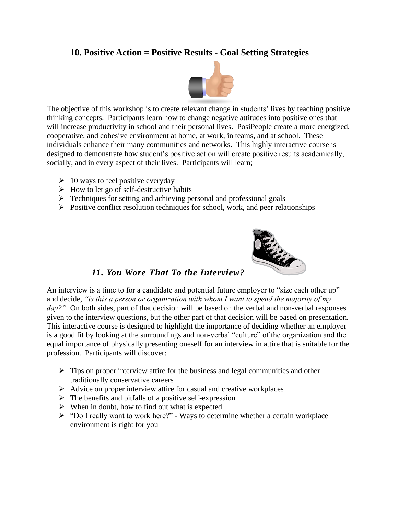### **10. Positive Action = Positive Results - Goal Setting Strategies**



The objective of this workshop is to create relevant change in students' lives by teaching positive thinking concepts. Participants learn how to change negative attitudes into positive ones that will increase productivity in school and their personal lives. PosiPeople create a more energized, cooperative, and cohesive environment at home, at work, in teams, and at school. These individuals enhance their many communities and networks. This highly interactive course is designed to demonstrate how student's positive action will create positive results academically, socially, and in every aspect of their lives. Participants will learn;

- $\geq 10$  ways to feel positive everyday
- $\triangleright$  How to let go of self-destructive habits
- ➢ Techniques for setting and achieving personal and professional goals
- $\triangleright$  Positive conflict resolution techniques for school, work, and peer relationships



### *11. You Wore That To the Interview?*

An interview is a time to for a candidate and potential future employer to "size each other up" and decide, *"is this a person or organization with whom I want to spend the majority of my*  day?" On both sides, part of that decision will be based on the verbal and non-verbal responses given to the interview questions, but the other part of that decision will be based on presentation. This interactive course is designed to highlight the importance of deciding whether an employer is a good fit by looking at the surroundings and non-verbal "culture" of the organization and the equal importance of physically presenting oneself for an interview in attire that is suitable for the profession. Participants will discover:

- $\triangleright$  Tips on proper interview attire for the business and legal communities and other traditionally conservative careers
- ➢ Advice on proper interview attire for casual and creative workplaces
- $\triangleright$  The benefits and pitfalls of a positive self-expression
- $\triangleright$  When in doubt, how to find out what is expected
- ➢ "Do I really want to work here?" Ways to determine whether a certain workplace environment is right for you